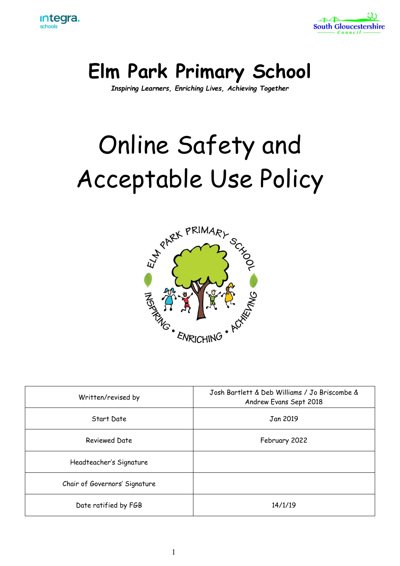



## **Elm Park Primary School**

*Inspiring Learners, Enriching Lives, Achieving Together*

# Online Safety and Acceptable Use Policy



| Written/revised by            | Josh Bartlett & Deb Williams / Jo Briscombe &<br>Andrew Evans Sept 2018 |
|-------------------------------|-------------------------------------------------------------------------|
| Start Date                    | Jan 2019                                                                |
| <b>Reviewed Date</b>          | February 2022                                                           |
| Headteacher's Signature       |                                                                         |
| Chair of Governors' Signature |                                                                         |
| Date ratified by FGB          | 14/1/19                                                                 |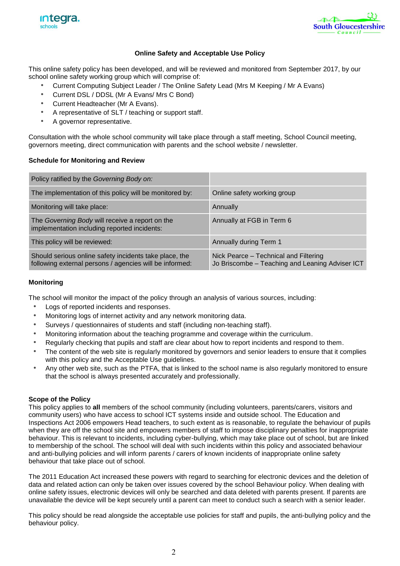



#### **Online Safety and Acceptable Use Policy**

This online safety policy has been developed, and will be reviewed and monitored from September 2017, by our school online safety working group which will comprise of:

- *•* Current Computing Subject Leader / The Online Safety Lead (Mrs M Keeping / Mr A Evans)
- *•* Current DSL / DDSL (Mr A Evans/ Mrs C Bond)
- *•* Current Headteacher (Mr A Evans).
- *•* A representative of SLT / teaching or support staff.
- *•* A governor representative.

Consultation with the whole school community will take place through a staff meeting, School Council meeting, governors meeting, direct communication with parents and the school website / newsletter.

#### **Schedule for Monitoring and Review**

| Policy ratified by the Governing Body on:                                                                         |                                                                                          |
|-------------------------------------------------------------------------------------------------------------------|------------------------------------------------------------------------------------------|
| The implementation of this policy will be monitored by:                                                           | Online safety working group                                                              |
| Monitoring will take place:                                                                                       | Annually                                                                                 |
| The Governing Body will receive a report on the<br>implementation including reported incidents:                   | Annually at FGB in Term 6                                                                |
| This policy will be reviewed:                                                                                     | Annually during Term 1                                                                   |
| Should serious online safety incidents take place, the<br>following external persons / agencies will be informed: | Nick Pearce - Technical and Filtering<br>Jo Briscombe - Teaching and Leaning Adviser ICT |

#### **Monitoring**

The school will monitor the impact of the policy through an analysis of various sources, including:

- *•* Logs of reported incidents and responses.
- *•* Monitoring logs of internet activity and any network monitoring data.
- *•* Surveys / questionnaires of students and staff (including non-teaching staff).
- *•* Monitoring information about the teaching programme and coverage within the curriculum.
- *•* Regularly checking that pupils and staff are clear about how to report incidents and respond to them.
- *•* The content of the web site is regularly monitored by governors and senior leaders to ensure that it complies with this policy and the Acceptable Use guidelines.
- *•* Any other web site, such as the PTFA, that is linked to the school name is also regularly monitored to ensure that the school is always presented accurately and professionally.

#### **Scope of the Policy**

This policy applies to **all** members of the school community (including volunteers, parents/carers, visitors and community users) who have access to school ICT systems inside and outside school. The Education and Inspections Act 2006 empowers Head teachers, to such extent as is reasonable, to regulate the behaviour of pupils when they are off the school site and empowers members of staff to impose disciplinary penalties for inappropriate behaviour. This is relevant to incidents, including cyber-bullying, which may take place out of school, but are linked to membership of the school. The school will deal with such incidents within this policy and associated behaviour and anti-bullying policies and will inform parents / carers of known incidents of inappropriate online safety behaviour that take place out of school.

The 2011 Education Act increased these powers with regard to searching for electronic devices and the deletion of data and related action can only be taken over issues covered by the school Behaviour policy. When dealing with online safety issues, electronic devices will only be searched and data deleted with parents present. If parents are unavailable the device will be kept securely until a parent can meet to conduct such a search with a senior leader.

This policy should be read alongside the acceptable use policies for staff and pupils, the anti-bullying policy and the behaviour policy.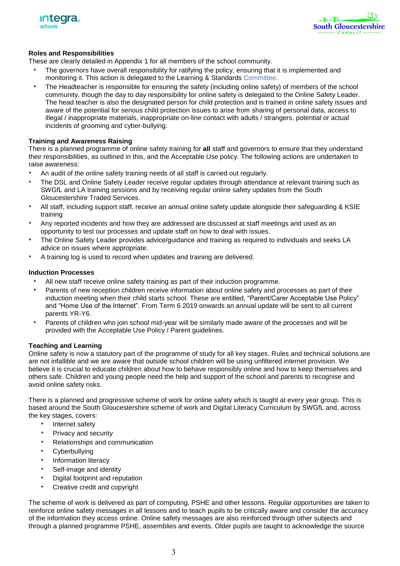



#### **Roles and Responsibilities**

These are clearly detailed in Appendix 1 for all members of the school community.

- *•* The governors have overall responsibility for ratifying the policy, ensuring that it is implemented and monitoring it. This action is delegated to the Learning & Standards Committee.
- *•* The Headteacher is responsible for ensuring the safety (including online safety) of members of the school community, though the day to day responsibility for online safety is delegated to the Online Safety Leader. The head teacher is also the designated person for child protection and is trained in online safety issues and aware of the potential for serious child protection issues to arise from sharing of personal data, access to illegal / inappropriate materials, inappropriate on-line contact with adults / strangers, potential or actual incidents of grooming and cyber-bullying.

#### **Training and Awareness Raising**

There is a planned programme of online safety training for **all** staff and governors to ensure that they understand their responsibilities, as outlined in this, and the Acceptable Use policy. The following actions are undertaken to raise awareness:

- *•* An audit of the online safety training needs of all staff is carried out regularly.
- *•* The DSL and Online Safety Leader receive regular updates through attendance at relevant training such as SWGfL and LA training sessions and by receiving regular online safety updates from the South Gloucestershire Traded Services.
- *•* All staff, including support staff, receive an annual online safety update alongside their safeguarding & KSIE training
- *•* Any reported incidents and how they are addressed are discussed at staff meetings and used as an opportunity to test our processes and update staff on how to deal with issues.
- *•* The Online Safety Leader provides advice/guidance and training as required to individuals and seeks LA advice on issues where appropriate.
- *•* A training log is used to record when updates and training are delivered.

#### **Induction Processes**

- *•* All new staff receive online safety training as part of their induction programme.
- *•* Parents of new reception children receive information about online safety and processes as part of their induction meeting when their child starts school. These are entitled, "Parent/Carer Acceptable Use Policy" and "Home Use of the Internet". From Term 6 2019 onwards an annual update will be sent to all current parents YR-Y6.
- *•* Parents of children who join school mid-year will be similarly made aware of the processes and will be provided with the Acceptable Use Policy / Parent guidelines.

#### **Teaching and Learning**

Online safety is now a statutory part of the programme of study for all key stages. Rules and technical solutions are are not infallible and we are aware that outside school children will be using unfiltered internet provision. We believe it is crucial to educate children about how to behave responsibly online and how to keep themselves and others safe. Children and young people need the help and support of the school and parents to recognise and avoid online safety risks.

There is a planned and progressive scheme of work for online safety which is taught at every year group. This is based around the South Gloucestershire scheme of work and Digital Literacy Curriculum by SWGfL and, across the key stages, covers:

- *•* Internet safety
- *•* Privacy and security
- *•* Relationships and communication
- *•* Cyberbullying
- *•* Information literacy
- *•* Self-image and identity
- *•* Digital footprint and reputation
- *•* Creative credit and copyright

The scheme of work is delivered as part of computing, PSHE and other lessons. Regular opportunities are taken to reinforce online safety messages in all lessons and to teach pupils to be critically aware and consider the accuracy of the information they access online. Online safety messages are also reinforced through other subjects and through a planned programme PSHE, assemblies and events. Older pupils are taught to acknowledge the source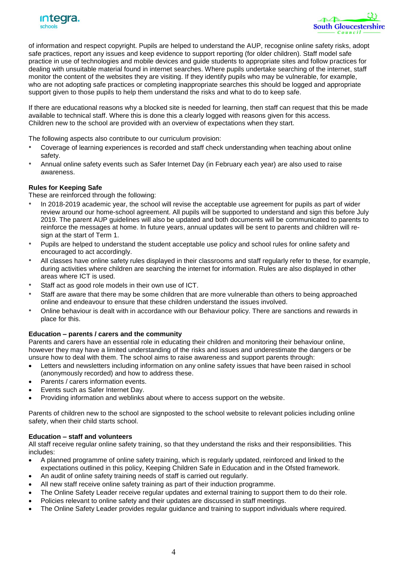



of information and respect copyright. Pupils are helped to understand the AUP, recognise online safety risks, adopt safe practices, report any issues and keep evidence to support reporting (for older children). Staff model safe practice in use of technologies and mobile devices and guide students to appropriate sites and follow practices for dealing with unsuitable material found in internet searches. Where pupils undertake searching of the internet, staff monitor the content of the websites they are visiting. If they identify pupils who may be vulnerable, for example, who are not adopting safe practices or completing inappropriate searches this should be logged and appropriate support given to those pupils to help them understand the risks and what to do to keep safe.

If there are educational reasons why a blocked site is needed for learning, then staff can request that this be made available to technical staff. Where this is done this a clearly logged with reasons given for this access. Children new to the school are provided with an overview of expectations when they start.

The following aspects also contribute to our curriculum provision:

- *•* Coverage of learning experiences is recorded and staff check understanding when teaching about online safety.
- *•* Annual online safety events such as Safer Internet Day (in February each year) are also used to raise awareness.

#### **Rules for Keeping Safe**

These are reinforced through the following:

- *•* In 2018-2019 academic year, the school will revise the acceptable use agreement for pupils as part of wider review around our home-school agreement. All pupils will be supported to understand and sign this before July 2019. The parent AUP guidelines will also be updated and both documents will be communicated to parents to reinforce the messages at home. In future years, annual updates will be sent to parents and children will resign at the start of Term 1.
- *•* Pupils are helped to understand the student acceptable use policy and school rules for online safety and encouraged to act accordingly.
- *•* All classes have online safety rules displayed in their classrooms and staff regularly refer to these, for example, during activities where children are searching the internet for information. Rules are also displayed in other areas where ICT is used.
- *•* Staff act as good role models in their own use of ICT.
- *•* Staff are aware that there may be some children that are more vulnerable than others to being approached online and endeavour to ensure that these children understand the issues involved.
- *•* Online behaviour is dealt with in accordance with our Behaviour policy. There are sanctions and rewards in place for this.

#### **Education – parents / carers and the community**

Parents and carers have an essential role in educating their children and monitoring their behaviour online, however they may have a limited understanding of the risks and issues and underestimate the dangers or be unsure how to deal with them. The school aims to raise awareness and support parents through:

- Letters and newsletters including information on any online safety issues that have been raised in school (anonymously recorded) and how to address these.
- Parents / carers information events.
- Events such as Safer Internet Day.
- Providing information and weblinks about where to access support on the website.

Parents of children new to the school are signposted to the school website to relevant policies including online safety, when their child starts school.

#### **Education – staff and volunteers**

All staff receive regular online safety training, so that they understand the risks and their responsibilities. This includes:

- A planned programme of online safety training, which is regularly updated, reinforced and linked to the expectations outlined in this policy, Keeping Children Safe in Education and in the Ofsted framework.
- An audit of online safety training needs of staff is carried out regularly.
- All new staff receive online safety training as part of their induction programme.
- The Online Safety Leader receive regular updates and external training to support them to do their role.
- Policies relevant to online safety and their updates are discussed in staff meetings.
- The Online Safety Leader provides regular guidance and training to support individuals where required.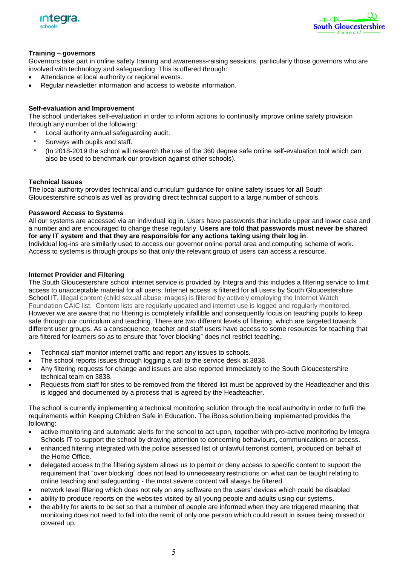



#### **Training – governors**

Governors take part in online safety training and awareness-raising sessions, particularly those governors who are involved with technology and safeguarding. This is offered through:

- Attendance at local authority or regional events.
- Regular newsletter information and access to website information.

#### **Self-evaluation and Improvement**

The school undertakes self-evaluation in order to inform actions to continually improve online safety provision through any number of the following:

- *•* Local authority annual safeguarding audit.
- *•* Surveys with pupils and staff.
- *•* (In 2018-2019 the school will research the use of the 360 degree safe online self-evaluation tool which can also be used to benchmark our provision against other schools).

#### **Technical Issues**

The local authority provides technical and curriculum guidance for online safety issues for **all** South Gloucestershire schools as well as providing direct technical support to a large number of schools.

#### **Password Access to Systems**

All our systems are accessed via an individual log in. Users have passwords that include upper and lower case and a number and are encouraged to change these regularly. **Users are told that passwords must never be shared for any IT system and that they are responsible for any actions taking using their log in**. Individual log-ins are similarly used to access our governor online portal area and computing scheme of work. Access to systems is through groups so that only the relevant group of users can access a resource.

#### **Internet Provider and Filtering**

The South Gloucestershire school internet service is provided by Integra and this includes a filtering service to limit access to unacceptable material for all users. Internet access is filtered for all users by South Gloucestershire School IT. Illegal content (child sexual abuse images) is filtered by actively employing the Internet Watch Foundation CAIC list. Content lists are regularly updated and internet use is logged and regularly monitored. However we are aware that no filtering is completely infallible and consequently focus on teaching pupils to keep safe through our curriculum and teaching. There are two different levels of filtering, which are targeted towards different user groups. As a consequence, teacher and staff users have access to some resources for teaching that are filtered for learners so as to ensure that "over blocking" does not restrict teaching.

- Technical staff monitor internet traffic and report any issues to schools.
- The school reports issues through logging a call to the service desk at 3838.
- Any filtering requests for change and issues are also reported immediately to the South Gloucestershire technical team on 3838.
- Requests from staff for sites to be removed from the filtered list must be approved by the Headteacher and this is logged and documented by a process that is agreed by the Headteacher.

The school is currently implementing a technical monitoring solution through the local authority in order to fulfil the requirements within Keeping Children Safe in Education. The iBoss solution being implemented provides the following:

- active monitoring and automatic alerts for the school to act upon, together with pro-active monitoring by Integra Schools IT to support the school by drawing attention to concerning behaviours, communications or access.
- enhanced filtering integrated with the police assessed list of unlawful terrorist content, produced on behalf of the Home Office.
- delegated access to the filtering system allows us to permit or deny access to specific content to support the requirement that "over blocking" does not lead to unnecessary restrictions on what can be taught relating to online teaching and safeguarding - the most severe content will always be filtered.
- network level filtering which does not rely on any software on the users' devices which could be disabled
- ability to produce reports on the websites visited by all young people and adults using our systems.
- the ability for alerts to be set so that a number of people are informed when they are triggered meaning that monitoring does not need to fall into the remit of only one person which could result in issues being missed or covered up.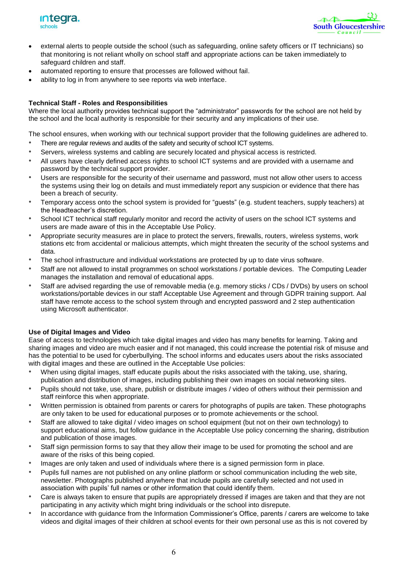



- external alerts to people outside the school (such as safeguarding, online safety officers or IT technicians) so that monitoring is not reliant wholly on school staff and appropriate actions can be taken immediately to safeguard children and staff.
- automated reporting to ensure that processes are followed without fail.
- ability to log in from anywhere to see reports via web interface.

#### **Technical Staff - Roles and Responsibilities**

Where the local authority provides technical support the "administrator" passwords for the school are not held by the school and the local authority is responsible for their security and any implications of their use.

The school ensures, when working with our technical support provider that the following guidelines are adhered to.

- *•* There are regular reviews and audits of the safety and security of school ICT systems.
- *•* Servers, wireless systems and cabling are securely located and physical access is restricted.
- *•* All users have clearly defined access rights to school ICT systems and are provided with a username and password by the technical support provider.
- *•* Users are responsible for the security of their username and password, must not allow other users to access the systems using their log on details and must immediately report any suspicion or evidence that there has been a breach of security.
- *•* Temporary access onto the school system is provided for "guests" (e.g. student teachers, supply teachers) at the Headteacher's discretion.
- *•* School ICT technical staff regularly monitor and record the activity of users on the school ICT systems and users are made aware of this in the Acceptable Use Policy.
- *•* Appropriate security measures are in place to protect the servers, firewalls, routers, wireless systems, work stations etc from accidental or malicious attempts, which might threaten the security of the school systems and data.
- *•* The school infrastructure and individual workstations are protected by up to date virus software.
- *•* Staff are not allowed to install programmes on school workstations / portable devices. The Computing Leader manages the installation and removal of educational apps.
- *•* Staff are advised regarding the use of removable media (e.g. memory sticks / CDs / DVDs) by users on school workstations/portable devices in our staff Acceptable Use Agreement and through GDPR training support. Aal staff have remote access to the school system through and encrypted password and 2 step authentication using Microsoft authenticator.

#### **Use of Digital Images and Video**

Ease of access to technologies which take digital images and video has many benefits for learning. Taking and sharing images and video are much easier and if not managed, this could increase the potential risk of misuse and has the potential to be used for cyberbullying. The school informs and educates users about the risks associated with digital images and these are outlined in the Acceptable Use policies:

- *•* When using digital images, staff educate pupils about the risks associated with the taking, use, sharing, publication and distribution of images, including publishing their own images on social networking sites.
- *•* Pupils should not take, use, share, publish or distribute images / video of others without their permission and staff reinforce this when appropriate.
- *•* Written permission is obtained from parents or carers for photographs of pupils are taken. These photographs are only taken to be used for educational purposes or to promote achievements or the school.
- *•* Staff are allowed to take digital / video images on school equipment (but not on their own technology) to support educational aims, but follow guidance in the Acceptable Use policy concerning the sharing, distribution and publication of those images.
- *•* Staff sign permission forms to say that they allow their image to be used for promoting the school and are aware of the risks of this being copied.
- *•* Images are only taken and used of individuals where there is a signed permission form in place.
- *•* Pupils full names are not published on any online platform or school communication including the web site, newsletter. Photographs published anywhere that include pupils are carefully selected and not used in association with pupils' full names or other information that could identify them.
- *•* Care is always taken to ensure that pupils are appropriately dressed if images are taken and that they are not participating in any activity which might bring individuals or the school into disrepute.
- *•* In accordance with guidance from the Information Commissioner's Office, parents / carers are welcome to take videos and digital images of their children at school events for their own personal use as this is not covered by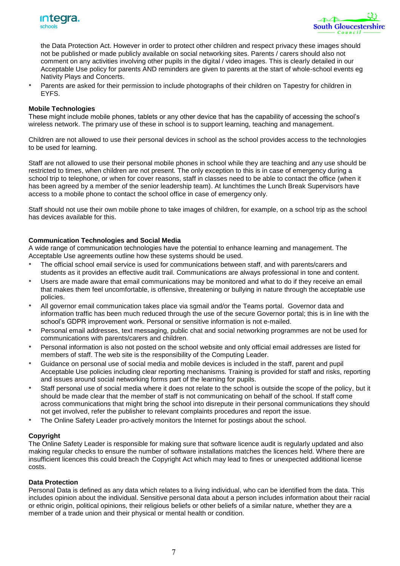



the Data Protection Act. However in order to protect other children and respect privacy these images should not be published or made publicly available on social networking sites. Parents / carers should also not comment on any activities involving other pupils in the digital / video images. This is clearly detailed in our Acceptable Use policy for parents AND reminders are given to parents at the start of whole-school events eg Nativity Plays and Concerts.

*•* Parents are asked for their permission to include photographs of their children on Tapestry for children in EYFS.

#### **Mobile Technologies**

These might include mobile phones, tablets or any other device that has the capability of accessing the school's wireless network. The primary use of these in school is to support learning, teaching and management.

Children are not allowed to use their personal devices in school as the school provides access to the technologies to be used for learning.

Staff are not allowed to use their personal mobile phones in school while they are teaching and any use should be restricted to times, when children are not present. The only exception to this is in case of emergency during a school trip to telephone, or when for cover reasons, staff in classes need to be able to contact the office (when it has been agreed by a member of the senior leadership team). At lunchtimes the Lunch Break Supervisors have access to a mobile phone to contact the school office in case of emergency only.

Staff should not use their own mobile phone to take images of children, for example, on a school trip as the school has devices available for this.

#### **Communication Technologies and Social Media**

A wide range of communication technologies have the potential to enhance learning and management. The Acceptable Use agreements outline how these systems should be used.

- *•* The official school email service is used for communications between staff, and with parents/carers and students as it provides an effective audit trail. Communications are always professional in tone and content.
- *•* Users are made aware that email communications may be monitored and what to do if they receive an email that makes them feel uncomfortable, is offensive, threatening or bullying in nature through the acceptable use policies.
- *•* All governor email communication takes place via sgmail and/or the Teams portal. Governor data and information traffic has been much reduced through the use of the secure Governor portal; this is in line with the school's GDPR improvement work. Personal or sensitive information is not e-mailed.
- *•* Personal email addresses, text messaging, public chat and social networking programmes are not be used for communications with parents/carers and children.
- *•* Personal information is also not posted on the school website and only official email addresses are listed for members of staff. The web site is the responsibility of the Computing Leader.
- *•* Guidance on personal use of social media and mobile devices is included in the staff, parent and pupil Acceptable Use policies including clear reporting mechanisms. Training is provided for staff and risks, reporting and issues around social networking forms part of the learning for pupils.
- *•* Staff personal use of social media where it does not relate to the school is outside the scope of the policy, but it should be made clear that the member of staff is not communicating on behalf of the school. If staff come across communications that might bring the school into disrepute in their personal communications they should not get involved, refer the publisher to relevant complaints procedures and report the issue.
- The Online Safety Leader pro-actively monitors the Internet for postings about the school.

#### **Copyright**

The Online Safety Leader is responsible for making sure that software licence audit is regularly updated and also making regular checks to ensure the number of software installations matches the licences held. Where there are insufficient licences this could breach the Copyright Act which may lead to fines or unexpected additional license costs.

#### **Data Protection**

Personal Data is defined as any data which relates to a living individual, who can be identified from the data. This includes opinion about the individual. Sensitive personal data about a person includes information about their racial or ethnic origin, political opinions, their religious beliefs or other beliefs of a similar nature, whether they are a member of a trade union and their physical or mental health or condition.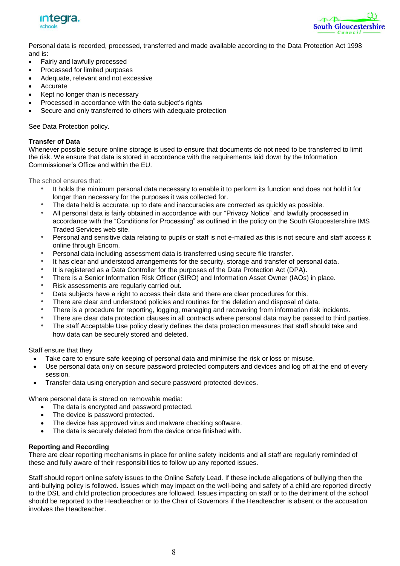



Personal data is recorded, processed, transferred and made available according to the Data Protection Act 1998 and is:

- Fairly and lawfully processed
- Processed for limited purposes
- Adequate, relevant and not excessive
- Accurate
- Kept no longer than is necessary
- Processed in accordance with the data subject's rights
- Secure and only transferred to others with adequate protection

See Data Protection policy.

#### **Transfer of Data**

Whenever possible secure online storage is used to ensure that documents do not need to be transferred to limit the risk. We ensure that data is stored in accordance with the requirements laid down by the Information Commissioner's Office and within the EU.

The school ensures that:

- *•* It holds the minimum personal data necessary to enable it to perform its function and does not hold it for longer than necessary for the purposes it was collected for.
- *•* The data held is accurate, up to date and inaccuracies are corrected as quickly as possible.
- *•* All personal data is fairly obtained in accordance with our "Privacy Notice" and lawfully processed in accordance with the "Conditions for Processing" as outlined in the policy on the South Gloucestershire IMS Traded Services web site.
- *•* Personal and sensitive data relating to pupils or staff is not e-mailed as this is not secure and staff access it online through Ericom.
- Personal data including assessment data is transferred using secure file transfer.
- *•* It has clear and understood arrangements for the security, storage and transfer of personal data.
- *•* It is registered as a Data Controller for the purposes of the Data Protection Act (DPA).
- *•* There is a Senior Information Risk Officer (SIRO) and Information Asset Owner (IAOs) in place.
- *•* Risk assessments are regularly carried out.
- *•* Data subjects have a right to access their data and there are clear procedures for this.
- *•* There are clear and understood policies and routines for the deletion and disposal of data.
- *•* There is a procedure for reporting, logging, managing and recovering from information risk incidents.
- *•* There are clear data protection clauses in all contracts where personal data may be passed to third parties.
- *•* The staff Acceptable Use policy clearly defines the data protection measures that staff should take and how data can be securely stored and deleted.

Staff ensure that they

- Take care to ensure safe keeping of personal data and minimise the risk or loss or misuse.
- Use personal data only on secure password protected computers and devices and log off at the end of every session.
- Transfer data using encryption and secure password protected devices.

Where personal data is stored on removable media:

- The data is encrypted and password protected.
- The device is password protected.
- The device has approved virus and malware checking software.
- The data is securely deleted from the device once finished with.

#### **Reporting and Recording**

There are clear reporting mechanisms in place for online safety incidents and all staff are regularly reminded of these and fully aware of their responsibilities to follow up any reported issues.

Staff should report online safety issues to the Online Safety Lead. If these include allegations of bullying then the anti-bullying policy is followed. Issues which may impact on the well-being and safety of a child are reported directly to the DSL and child protection procedures are followed. Issues impacting on staff or to the detriment of the school should be reported to the Headteacher or to the Chair of Governors if the Headteacher is absent or the accusation involves the Headteacher.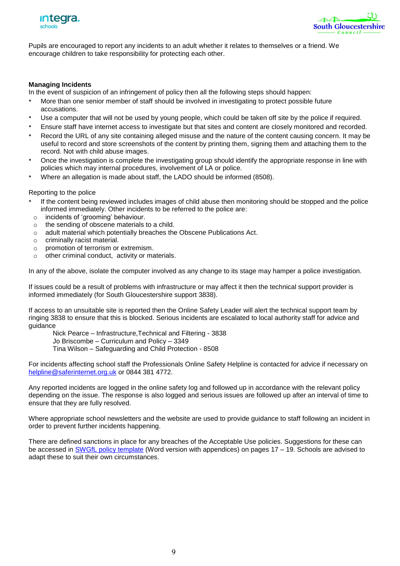



Pupils are encouraged to report any incidents to an adult whether it relates to themselves or a friend. We encourage children to take responsibility for protecting each other.

#### **Managing Incidents**

In the event of suspicion of an infringement of policy then all the following steps should happen:

- *•* More than one senior member of staff should be involved in investigating to protect possible future accusations.
- *•* Use a computer that will not be used by young people, which could be taken off site by the police if required.
- *•* Ensure staff have internet access to investigate but that sites and content are closely monitored and recorded.
- *•* Record the URL of any site containing alleged misuse and the nature of the content causing concern. It may be useful to record and store screenshots of the content by printing them, signing them and attaching them to the record. Not with child abuse images.
- *•* Once the investigation is complete the investigating group should identify the appropriate response in line with policies which may internal procedures, involvement of LA or police.
- *•* Where an allegation is made about staff, the LADO should be informed (8508).

#### Reporting to the police

- *•* If the content being reviewed includes images of child abuse then monitoring should be stopped and the police informed immediately. Other incidents to be referred to the police are:
- o incidents of 'grooming' behaviour.
- o the sending of obscene materials to a child.
- o adult material which potentially breaches the Obscene Publications Act.
- o criminally racist material.
- o promotion of terrorism or extremism.
- o other criminal conduct, activity or materials.

In any of the above, isolate the computer involved as any change to its stage may hamper a police investigation.

If issues could be a result of problems with infrastructure or may affect it then the technical support provider is informed immediately (for South Gloucestershire support 3838).

If access to an unsuitable site is reported then the Online Safety Leader will alert the technical support team by ringing 3838 to ensure that this is blocked. Serious incidents are escalated to local authority staff for advice and guidance

Nick Pearce – Infrastructure,Technical and Filtering - 3838

Jo Briscombe – Curriculum and Policy – 3349

Tina Wilson – Safeguarding and Child Protection - 8508

For incidents affecting school staff the Professionals Online Safety Helpline is contacted for advice if necessary on [helpline@saferinternet.org.uk](mailto:helpline@saferinternet.org.uk) or 0844 381 4772.

Any reported incidents are logged in the online safety log and followed up in accordance with the relevant policy depending on the issue. The response is also logged and serious issues are followed up after an interval of time to ensure that they are fully resolved.

Where appropriate school newsletters and the website are used to provide guidance to staff following an incident in order to prevent further incidents happening.

There are defined sanctions in place for any breaches of the Acceptable Use policies. Suggestions for these can be accessed in [SWGfL policy template](http://www.swgfl.org.uk/products-services/Online-Safety-Services/E-Safety-Resources/creating-an-esafety-policy) (Word version with appendices) on pages 17 – 19. Schools are advised to adapt these to suit their own circumstances.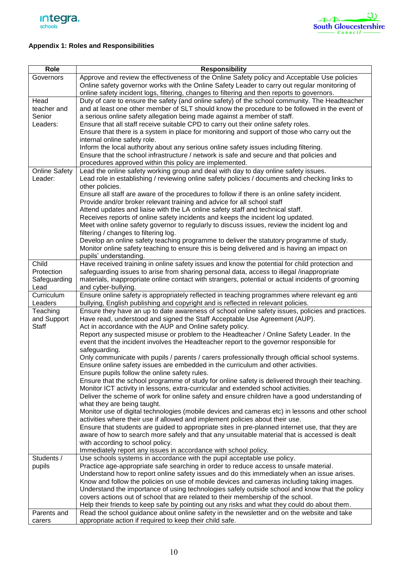



### **Appendix 1: Roles and Responsibilities**

| Role                                      | <b>Responsibility</b>                                                                                                                                                                                                                                                                                                                                                                                                                                                                                                                                                                                                                                                                                                                                                                                                            |
|-------------------------------------------|----------------------------------------------------------------------------------------------------------------------------------------------------------------------------------------------------------------------------------------------------------------------------------------------------------------------------------------------------------------------------------------------------------------------------------------------------------------------------------------------------------------------------------------------------------------------------------------------------------------------------------------------------------------------------------------------------------------------------------------------------------------------------------------------------------------------------------|
| Governors                                 | Approve and review the effectiveness of the Online Safety policy and Acceptable Use policies<br>Online safety governor works with the Online Safety Leader to carry out regular monitoring of                                                                                                                                                                                                                                                                                                                                                                                                                                                                                                                                                                                                                                    |
|                                           | online safety incident logs, filtering, changes to filtering and then reports to governors.                                                                                                                                                                                                                                                                                                                                                                                                                                                                                                                                                                                                                                                                                                                                      |
| Head<br>teacher and<br>Senior<br>Leaders: | Duty of care to ensure the safety (and online safety) of the school community. The Headteacher<br>and at least one other member of SLT should know the procedure to be followed in the event of<br>a serious online safety allegation being made against a member of staff.<br>Ensure that all staff receive suitable CPD to carry out their online safety roles.<br>Ensure that there is a system in place for monitoring and support of those who carry out the                                                                                                                                                                                                                                                                                                                                                                |
| <b>Online Safety</b>                      | internal online safety role.<br>Inform the local authority about any serious online safety issues including filtering.<br>Ensure that the school infrastructure / network is safe and secure and that policies and<br>procedures approved within this policy are implemented.<br>Lead the online safety working group and deal with day to day online safety issues.                                                                                                                                                                                                                                                                                                                                                                                                                                                             |
| Leader:                                   | Lead role in establishing / reviewing online safety policies / documents and checking links to<br>other policies.<br>Ensure all staff are aware of the procedures to follow if there is an online safety incident.<br>Provide and/or broker relevant training and advice for all school staff<br>Attend updates and liaise with the LA online safety staff and technical staff.<br>Receives reports of online safety incidents and keeps the incident log updated.<br>Meet with online safety governor to regularly to discuss issues, review the incident log and<br>filtering / changes to filtering log.<br>Develop an online safety teaching programme to deliver the statutory programme of study.<br>Monitor online safety teaching to ensure this is being delivered and is having an impact on<br>pupils' understanding. |
| Child<br>Protection<br>Safeguarding       | Have received training in online safety issues and know the potential for child protection and<br>safeguarding issues to arise from sharing personal data, access to illegal /inappropriate<br>materials, inappropriate online contact with strangers, potential or actual incidents of grooming                                                                                                                                                                                                                                                                                                                                                                                                                                                                                                                                 |
| Lead                                      | and cyber-bullying.                                                                                                                                                                                                                                                                                                                                                                                                                                                                                                                                                                                                                                                                                                                                                                                                              |
| Curriculum<br>Leaders                     | Ensure online safety is appropriately reflected in teaching programmes where relevant eg anti<br>bullying, English publishing and copyright and is reflected in relevant policies.                                                                                                                                                                                                                                                                                                                                                                                                                                                                                                                                                                                                                                               |
| Teaching<br>and Support<br><b>Staff</b>   | Ensure they have an up to date awareness of school online safety issues, policies and practices.<br>Have read, understood and signed the Staff Acceptable Use Agreement (AUP).<br>Act in accordance with the AUP and Online safety policy.                                                                                                                                                                                                                                                                                                                                                                                                                                                                                                                                                                                       |
|                                           | Report any suspected misuse or problem to the Headteacher / Online Safety Leader. In the<br>event that the incident involves the Headteacher report to the governor responsible for<br>safeguarding.                                                                                                                                                                                                                                                                                                                                                                                                                                                                                                                                                                                                                             |
|                                           | Only communicate with pupils / parents / carers professionally through official school systems.<br>Ensure online safety issues are embedded in the curriculum and other activities.<br>Ensure pupils follow the online safety rules.                                                                                                                                                                                                                                                                                                                                                                                                                                                                                                                                                                                             |
|                                           | Ensure that the school programme of study for online safety is delivered through their teaching.<br>Monitor ICT activity in lessons, extra-curricular and extended school activities.<br>Deliver the scheme of work for online safety and ensure children have a good understanding of                                                                                                                                                                                                                                                                                                                                                                                                                                                                                                                                           |
|                                           | what they are being taught.<br>Monitor use of digital technologies (mobile devices and cameras etc) in lessons and other school<br>activities where their use if allowed and implement policies about their use.                                                                                                                                                                                                                                                                                                                                                                                                                                                                                                                                                                                                                 |
|                                           | Ensure that students are guided to appropriate sites in pre-planned internet use, that they are<br>aware of how to search more safely and that any unsuitable material that is accessed is dealt<br>with according to school policy.<br>Immediately report any issues in accordance with school policy.                                                                                                                                                                                                                                                                                                                                                                                                                                                                                                                          |
| Students /                                | Use schools systems in accordance with the pupil acceptable use policy.                                                                                                                                                                                                                                                                                                                                                                                                                                                                                                                                                                                                                                                                                                                                                          |
| pupils                                    | Practice age-appropriate safe searching in order to reduce access to unsafe material.                                                                                                                                                                                                                                                                                                                                                                                                                                                                                                                                                                                                                                                                                                                                            |
|                                           | Understand how to report online safety issues and do this immediately when an issue arises.                                                                                                                                                                                                                                                                                                                                                                                                                                                                                                                                                                                                                                                                                                                                      |
|                                           | Know and follow the policies on use of mobile devices and cameras including taking images.                                                                                                                                                                                                                                                                                                                                                                                                                                                                                                                                                                                                                                                                                                                                       |
|                                           | Understand the importance of using technologies safely outside school and know that the policy<br>covers actions out of school that are related to their membership of the school.                                                                                                                                                                                                                                                                                                                                                                                                                                                                                                                                                                                                                                               |
|                                           | Help their friends to keep safe by pointing out any risks and what they could do about them.                                                                                                                                                                                                                                                                                                                                                                                                                                                                                                                                                                                                                                                                                                                                     |
| Parents and                               | Read the school guidance about online safety in the newsletter and on the website and take                                                                                                                                                                                                                                                                                                                                                                                                                                                                                                                                                                                                                                                                                                                                       |
| carers                                    | appropriate action if required to keep their child safe.                                                                                                                                                                                                                                                                                                                                                                                                                                                                                                                                                                                                                                                                                                                                                                         |